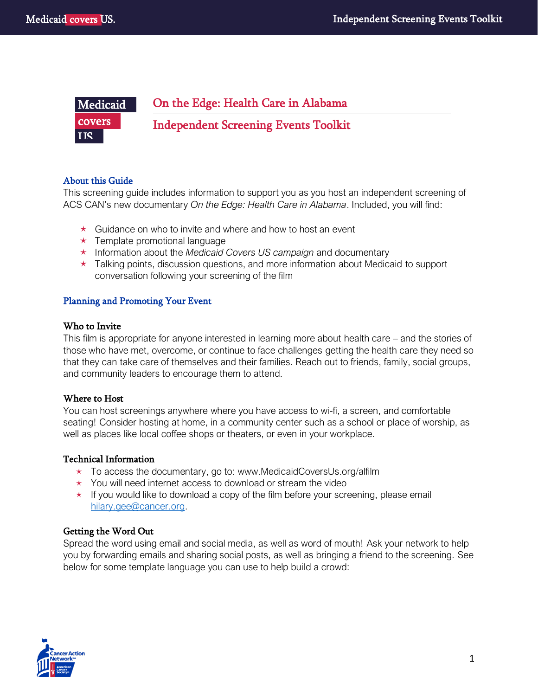#### On the Edge: Health Care in Alabama j Independent Screening Events Toolkit Medicaid covers **TIS.**

# About this Guide

This screening guide includes information to support you as you host an independent screening of ACS CAN's new documentary *On the Edge: Health Care in Alabama*. Included, you will find:

- $\star$  Guidance on who to invite and where and how to host an event
- $\star$  Template promotional language
- Information about the *Medicaid Covers US campaign* and documentary
- $\star$  Talking points, discussion questions, and more information about Medicaid to support conversation following your screening of the film

# Planning and Promoting Your Event

# Who to Invite

This film is appropriate for anyone interested in learning more about health care – and the stories of those who have met, overcome, or continue to face challenges getting the health care they need so that they can take care of themselves and their families. Reach out to friends, family, social groups, and community leaders to encourage them to attend.

# Where to Host

You can host screenings anywhere where you have access to wi-fi, a screen, and comfortable seating! Consider hosting at home, in a community center such as a school or place of worship, as well as places like local coffee shops or theaters, or even in your workplace.

# Technical Information

- $\star$  To access the documentary, go to: www.MedicaidCoversUs.org/alfilm
- $\star$  You will need internet access to download or stream the video
- $\star$  If you would like to download a copy of the film before your screening, please email [hilary.gee@cancer.org.](mailto:hilary.gee@cancer.org)

# Getting the Word Out

Spread the word using email and social media, as well as word of mouth! Ask your network to help you by forwarding emails and sharing social posts, as well as bringing a friend to the screening. See below for some template language you can use to help build a crowd:

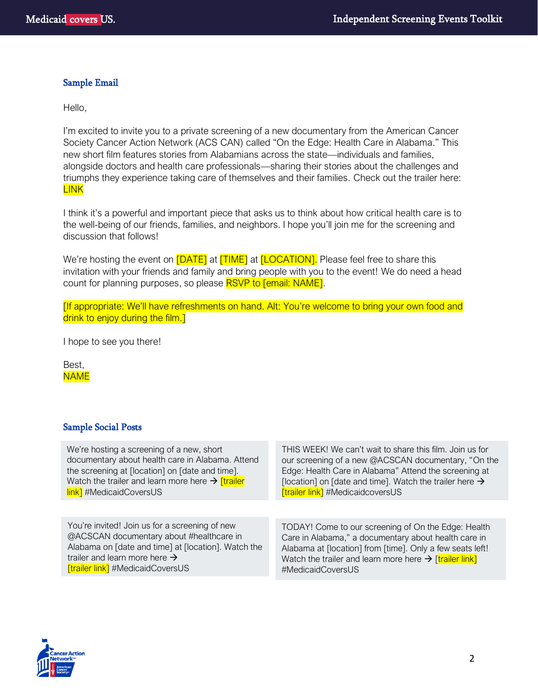### Sample Email

Hello,

I'm excited to invite you to a private screening of a new documentary from the American Cancer Society Cancer Action Network (ACS CAN) called "On the Edge: Health Care in Alabama." This new short film features stories from Alabamians across the state—individuals and families, alongside doctors and health care professionals—sharing their stories about the challenges and triumphs they experience taking care of themselves and their families. Check out the trailer here: LINK

I think it's a powerful and important piece that asks us to think about how critical health care is to the well-being of our friends, families, and neighbors. I hope you'll join me for the screening and discussion that follows!

We're hosting the event on **[DATE]** at **[TIME]** at **[LOCATION]**. Please feel free to share this invitation with your friends and family and bring people with you to the event! We do need a head count for planning purposes, so please RSVP to [email: NAME].

[If appropriate: We'll have refreshments on hand. Alt: You're welcome to bring your own food and drink to enjoy during the film.]

I hope to see you there!

Best, **NAME** 

### Sample Social Posts

We're hosting a screening of a new, short documentary about health care in Alabama. Attend the screening at [location] on [date and time]. Watch the trailer and learn more here  $\rightarrow$  [trailer] **link**] #MedicaidCoversUS

You're invited! Join us for a screening of new @ACSCAN documentary about #healthcare in Alabama on [date and time] at [location]. Watch the trailer and learn more here  $\rightarrow$ **[trailer link]** #MedicaidCoversUS

THIS WEEK! We can't wait to share this film. Join us for our screening of a new @ACSCAN documentary, "On the Edge: Health Care in Alabama" Attend the screening at [location] on [date and time]. Watch the trailer here  $\rightarrow$ [trailer link] #MedicaidcoversUS

TODAY! Come to our screening of On the Edge: Health Care in Alabama," a documentary about health care in Alabama at [location] from [time]. Only a few seats left! Watch the trailer and learn more here  $\rightarrow$  [trailer link] #MedicaidCoversUS

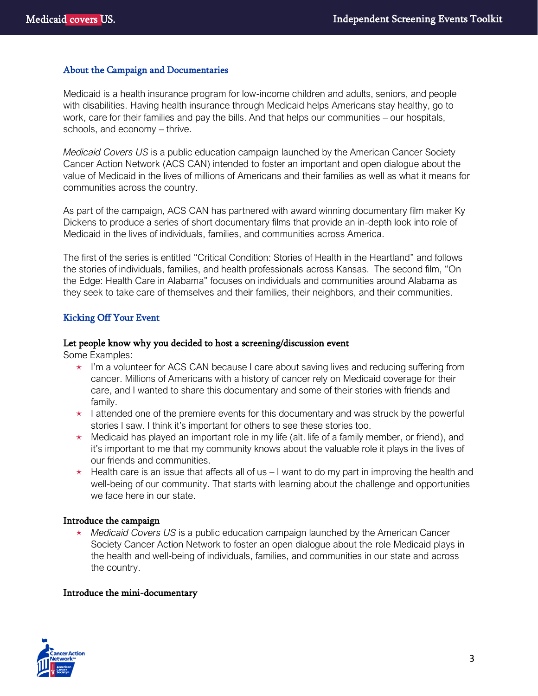### About the Campaign and Documentaries

Medicaid is a health insurance program for low-income children and adults, seniors, and people with disabilities. Having health insurance through Medicaid helps Americans stay healthy, go to work, care for their families and pay the bills. And that helps our communities – our hospitals, schools, and economy – thrive.

*Medicaid Covers US* is a public education campaign launched by the American Cancer Society Cancer Action Network (ACS CAN) intended to foster an important and open dialogue about the value of Medicaid in the lives of millions of Americans and their families as well as what it means for communities across the country.

As part of the campaign, ACS CAN has partnered with award winning documentary film maker Ky Dickens to produce a series of short documentary films that provide an in-depth look into role of Medicaid in the lives of individuals, families, and communities across America.

The first of the series is entitled "Critical Condition: Stories of Health in the Heartland" and follows the stories of individuals, families, and health professionals across Kansas. The second film, "On the Edge: Health Care in Alabama" focuses on individuals and communities around Alabama as they seek to take care of themselves and their families, their neighbors, and their communities.

# Kicking Off Your Event

#### Let people know why you decided to host a screening/discussion event

Some Examples:

- $\star$  I'm a volunteer for ACS CAN because I care about saving lives and reducing suffering from cancer. Millions of Americans with a history of cancer rely on Medicaid coverage for their care, and I wanted to share this documentary and some of their stories with friends and family.
- $\star$  I attended one of the premiere events for this documentary and was struck by the powerful stories I saw. I think it's important for others to see these stories too.
- $\star$  Medicaid has played an important role in my life (alt. life of a family member, or friend), and it's important to me that my community knows about the valuable role it plays in the lives of our friends and communities.
- $\star$  Health care is an issue that affects all of us I want to do my part in improving the health and well-being of our community. That starts with learning about the challenge and opportunities we face here in our state.

### Introduce the campaign

 *Medicaid Covers US* is a public education campaign launched by the American Cancer Society Cancer Action Network to foster an open dialogue about the role Medicaid plays in the health and well-being of individuals, families, and communities in our state and across the country.

### Introduce the mini-documentary

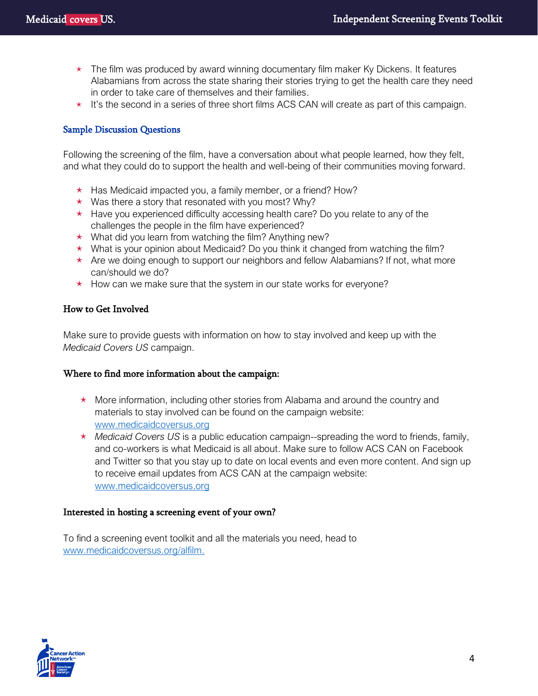- $\star$  The film was produced by award winning documentary film maker Ky Dickens. It features Alabamians from across the state sharing their stories trying to get the health care they need in order to take care of themselves and their families.
- $\star$  It's the second in a series of three short films ACS CAN will create as part of this campaign.

### Sample Discussion Questions

Following the screening of the film, have a conversation about what people learned, how they felt, and what they could do to support the health and well-being of their communities moving forward.

- $\star$  Has Medicaid impacted you, a family member, or a friend? How?
- $\star$  Was there a story that resonated with you most? Why?
- $\star$  Have you experienced difficulty accessing health care? Do you relate to any of the challenges the people in the film have experienced?
- $\star$  What did you learn from watching the film? Anything new?
- $\star$  What is your opinion about Medicaid? Do you think it changed from watching the film?
- $\star$  Are we doing enough to support our neighbors and fellow Alabamians? If not, what more can/should we do?
- $\star$  How can we make sure that the system in our state works for everyone?

### How to Get Involved

Make sure to provide guests with information on how to stay involved and keep up with the *Medicaid Covers US* campaign.

### Where to find more information about the campaign:

- $\star$  More information, including other stories from Alabama and around the country and materials to stay involved can be found on the campaign website: www.medicaidcoversus.org
- *Medicaid Covers US* is a public education campaign--spreading the word to friends, family, and co-workers is what Medicaid is all about. Make sure to follow ACS CAN on Facebook and Twitter so that you stay up to date on local events and even more content. And sign up to receive email updates from ACS CAN at the campaign website: www.medicaidcoversus.org

### Interested in hosting a screening event of your own?

To find a screening event toolkit and all the materials you need, head to www.medicaidcoversus.org/alfilm.

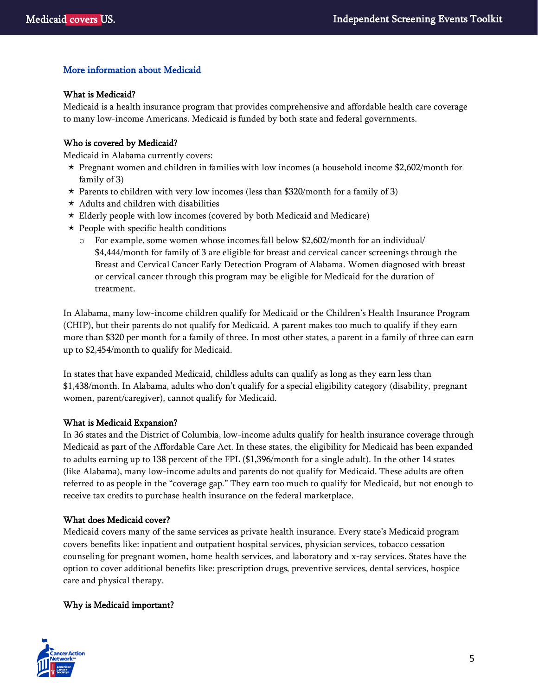# More information about Medicaid

### What is Medicaid?

Medicaid is a health insurance program that provides comprehensive and affordable health care coverage to many low-income Americans. Medicaid is funded by both state and federal governments.

### Who is covered by Medicaid?

Medicaid in Alabama currently covers:

- $\star$  Pregnant women and children in families with low incomes (a household income \$2,602/month for family of 3)
- $\star$  Parents to children with very low incomes (less than \$320/month for a family of 3)
- $\star$  Adults and children with disabilities
- Elderly people with low incomes (covered by both Medicaid and Medicare)
- $\star$  People with specific health conditions
	- o For example, some women whose incomes fall below \$2,602/month for an individual/ \$4,444/month for family of 3 are eligible for breast and cervical cancer screenings through the Breast and Cervical Cancer Early Detection Program of Alabama. Women diagnosed with breast or cervical cancer through this program may be eligible for Medicaid for the duration of treatment.

In Alabama, many low-income children qualify for Medicaid or the Children's Health Insurance Program (CHIP), but their parents do not qualify for Medicaid. A parent makes too much to qualify if they earn more than \$320 per month for a family of three. In most other states, a parent in a family of three can earn up to \$2,454/month to qualify for Medicaid.

In states that have expanded Medicaid, childless adults can qualify as long as they earn less than \$1,438/month. In Alabama, adults who don't qualify for a special eligibility category (disability, pregnant women, parent/caregiver), cannot qualify for Medicaid.

### What is Medicaid Expansion?

In 36 states and the District of Columbia, low-income adults qualify for health insurance coverage through Medicaid as part of the Affordable Care Act. In these states, the eligibility for Medicaid has been expanded to adults earning up to 138 percent of the FPL (\$1,396/month for a single adult). In the other 14 states (like Alabama), many low-income adults and parents do not qualify for Medicaid. These adults are often referred to as people in the "coverage gap." They earn too much to qualify for Medicaid, but not enough to receive tax credits to purchase health insurance on the federal marketplace.

### What does Medicaid cover?

Medicaid covers many of the same services as private health insurance. Every state's Medicaid program covers benefits like: inpatient and outpatient hospital services, physician services, tobacco cessation counseling for pregnant women, home health services, and laboratory and x-ray services. States have the option to cover additional benefits like: prescription drugs, preventive services, dental services, hospice care and physical therapy.

# Why is Medicaid important?